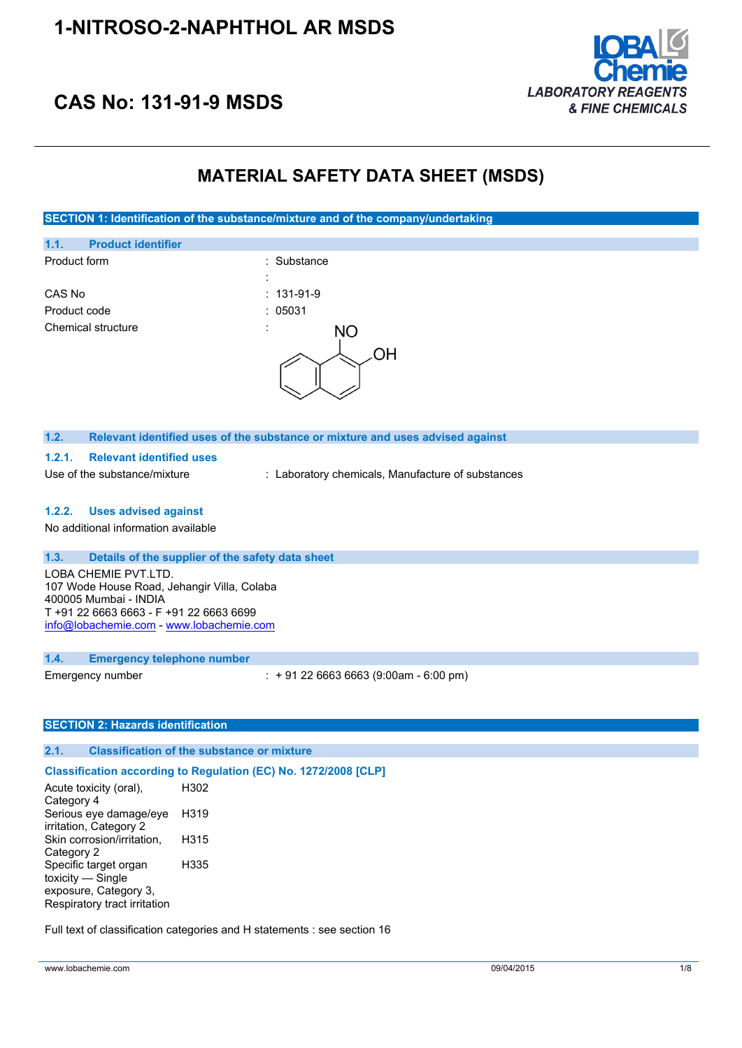

## **CAS No: 131-91-9 MSDS**

## **MATERIAL SAFETY DATA SHEET (MSDS)**

**SECTION 1: Identification of the substance/mixture and of the company/undertaking**



Acute toxicity (oral), Category 4 H302 Serious eye damage/eye irritation, Category 2 H319 Skin corrosion/irritation, Category 2 H315 Specific target organ toxicity — Single exposure, Category 3, Respiratory tract irritation H335

Full text of classification categories and H statements : see section 16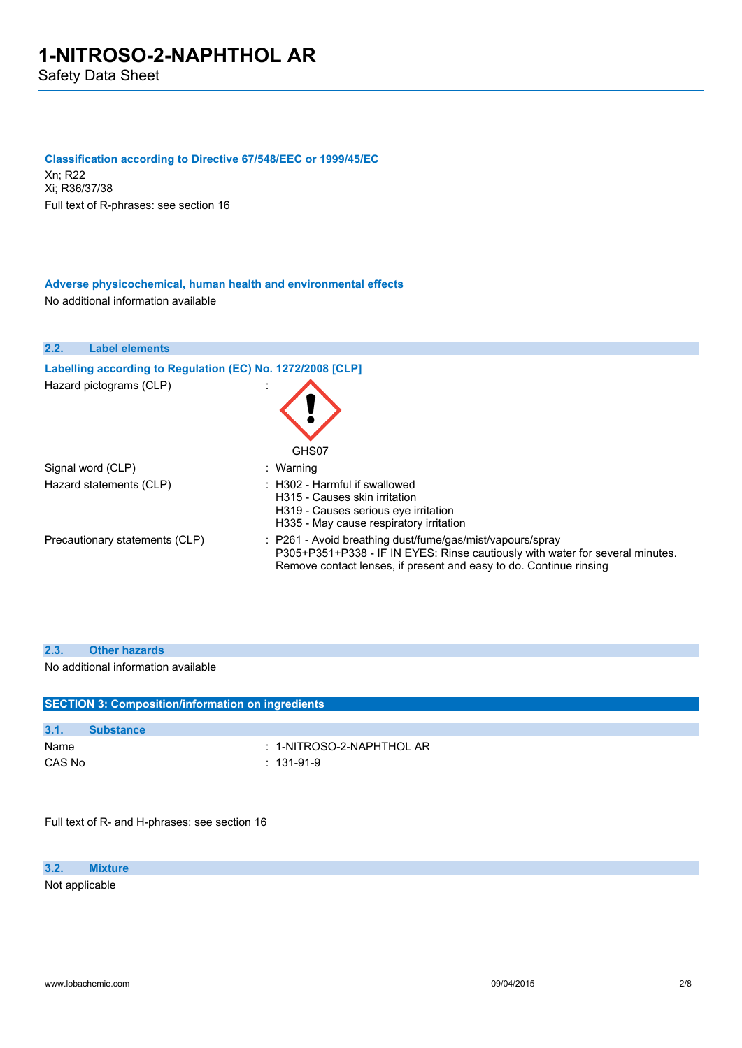#### **Classification according to Directive 67/548/EEC or 1999/45/EC**

Xn; R22 Xi; R36/37/38 Full text of R-phrases: see section 16

**Adverse physicochemical, human health and environmental effects** No additional information available

| 2.2.<br><b>Label elements</b>                              |                                                                                                                                                                                                                  |
|------------------------------------------------------------|------------------------------------------------------------------------------------------------------------------------------------------------------------------------------------------------------------------|
| Labelling according to Regulation (EC) No. 1272/2008 [CLP] |                                                                                                                                                                                                                  |
| Hazard pictograms (CLP)                                    | GHS07                                                                                                                                                                                                            |
| Signal word (CLP)                                          | : Warning                                                                                                                                                                                                        |
| Hazard statements (CLP)                                    | $\therefore$ H302 - Harmful if swallowed<br>H315 - Causes skin irritation<br>H319 - Causes serious eve irritation<br>H335 - May cause respiratory irritation                                                     |
| Precautionary statements (CLP)                             | : P261 - Avoid breathing dust/fume/gas/mist/vapours/spray<br>P305+P351+P338 - IF IN EYES: Rinse cautiously with water for several minutes.<br>Remove contact lenses, if present and easy to do. Continue rinsing |

| 2.3. |  | <b>Other hazards</b> |
|------|--|----------------------|
|------|--|----------------------|

No additional information available

| <b>SECTION 3: Composition/information on ingredients</b> |                  |                            |
|----------------------------------------------------------|------------------|----------------------------|
| 3.1.                                                     | <b>Substance</b> |                            |
| Name                                                     |                  | $: 1-NITROSO-2-NAPHTHOLAR$ |
| CAS No                                                   |                  | $: 131-91-9$               |
|                                                          |                  |                            |

Full text of R- and H-phrases: see section 16

**3.2. Mixture**

Not applicable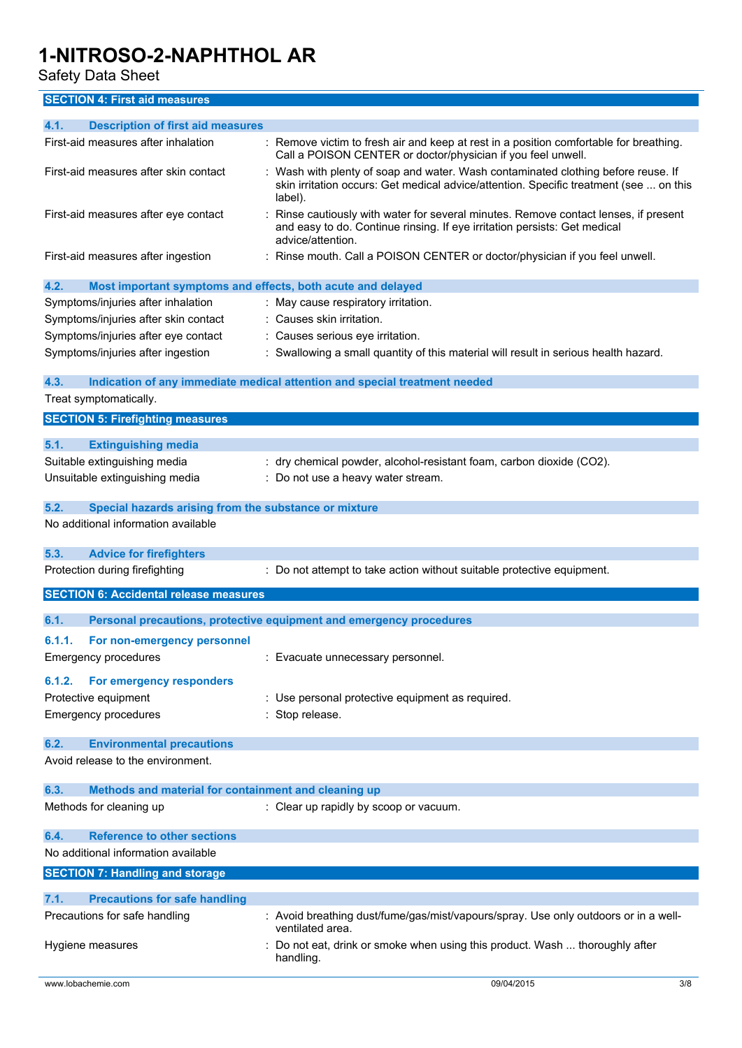### Safety Data Sheet

### **SECTION 4: First aid measures**

| <b>Description of first aid measures</b><br>4.1.                    |                                                                                                                                                                                      |
|---------------------------------------------------------------------|--------------------------------------------------------------------------------------------------------------------------------------------------------------------------------------|
|                                                                     |                                                                                                                                                                                      |
| First-aid measures after inhalation                                 | : Remove victim to fresh air and keep at rest in a position comfortable for breathing.<br>Call a POISON CENTER or doctor/physician if you feel unwell.                               |
| First-aid measures after skin contact                               | Wash with plenty of soap and water. Wash contaminated clothing before reuse. If<br>skin irritation occurs: Get medical advice/attention. Specific treatment (see  on this<br>label). |
| First-aid measures after eye contact                                | Rinse cautiously with water for several minutes. Remove contact lenses, if present<br>and easy to do. Continue rinsing. If eye irritation persists: Get medical<br>advice/attention. |
| First-aid measures after ingestion                                  | Rinse mouth. Call a POISON CENTER or doctor/physician if you feel unwell.                                                                                                            |
| 4.2.<br>Most important symptoms and effects, both acute and delayed |                                                                                                                                                                                      |
| Symptoms/injuries after inhalation                                  | : May cause respiratory irritation.                                                                                                                                                  |
| Symptoms/injuries after skin contact                                | : Causes skin irritation.                                                                                                                                                            |
|                                                                     |                                                                                                                                                                                      |
| Symptoms/injuries after eye contact                                 | : Causes serious eye irritation.                                                                                                                                                     |
| Symptoms/injuries after ingestion                                   | : Swallowing a small quantity of this material will result in serious health hazard.                                                                                                 |
| 4.3.<br>Treat symptomatically.                                      | Indication of any immediate medical attention and special treatment needed                                                                                                           |
|                                                                     |                                                                                                                                                                                      |
| <b>SECTION 5: Firefighting measures</b>                             |                                                                                                                                                                                      |
| 5.1.<br><b>Extinguishing media</b>                                  |                                                                                                                                                                                      |
| Suitable extinguishing media                                        | : dry chemical powder, alcohol-resistant foam, carbon dioxide (CO2).                                                                                                                 |
|                                                                     |                                                                                                                                                                                      |
| Unsuitable extinguishing media                                      | : Do not use a heavy water stream.                                                                                                                                                   |
| 5.2.<br>Special hazards arising from the substance or mixture       |                                                                                                                                                                                      |
| No additional information available                                 |                                                                                                                                                                                      |
| 5.3.                                                                |                                                                                                                                                                                      |
| <b>Advice for firefighters</b>                                      |                                                                                                                                                                                      |
| Protection during firefighting                                      | : Do not attempt to take action without suitable protective equipment.                                                                                                               |
| <b>SECTION 6: Accidental release measures</b>                       |                                                                                                                                                                                      |
| 6.1.                                                                | Personal precautions, protective equipment and emergency procedures                                                                                                                  |
| 6.1.1.<br>For non-emergency personnel                               |                                                                                                                                                                                      |
|                                                                     |                                                                                                                                                                                      |
| <b>Emergency procedures</b>                                         |                                                                                                                                                                                      |
|                                                                     | : Evacuate unnecessary personnel.                                                                                                                                                    |
| For emergency responders<br>6.1.2.                                  |                                                                                                                                                                                      |
| Protective equipment                                                | : Use personal protective equipment as required.                                                                                                                                     |
|                                                                     | : Stop release.                                                                                                                                                                      |
| <b>Emergency procedures</b>                                         |                                                                                                                                                                                      |
| 6.2.<br><b>Environmental precautions</b>                            |                                                                                                                                                                                      |
| Avoid release to the environment.                                   |                                                                                                                                                                                      |
| 6.3.                                                                |                                                                                                                                                                                      |
| Methods and material for containment and cleaning up                |                                                                                                                                                                                      |
| Methods for cleaning up                                             | : Clear up rapidly by scoop or vacuum.                                                                                                                                               |
| <b>Reference to other sections</b><br>6.4.                          |                                                                                                                                                                                      |
| No additional information available                                 |                                                                                                                                                                                      |
| <b>SECTION 7: Handling and storage</b>                              |                                                                                                                                                                                      |
| 7.1.<br><b>Precautions for safe handling</b>                        |                                                                                                                                                                                      |
| Precautions for safe handling                                       | : Avoid breathing dust/fume/gas/mist/vapours/spray. Use only outdoors or in a well-<br>ventilated area.                                                                              |
| Hygiene measures                                                    | : Do not eat, drink or smoke when using this product. Wash  thoroughly after                                                                                                         |
|                                                                     | handling.                                                                                                                                                                            |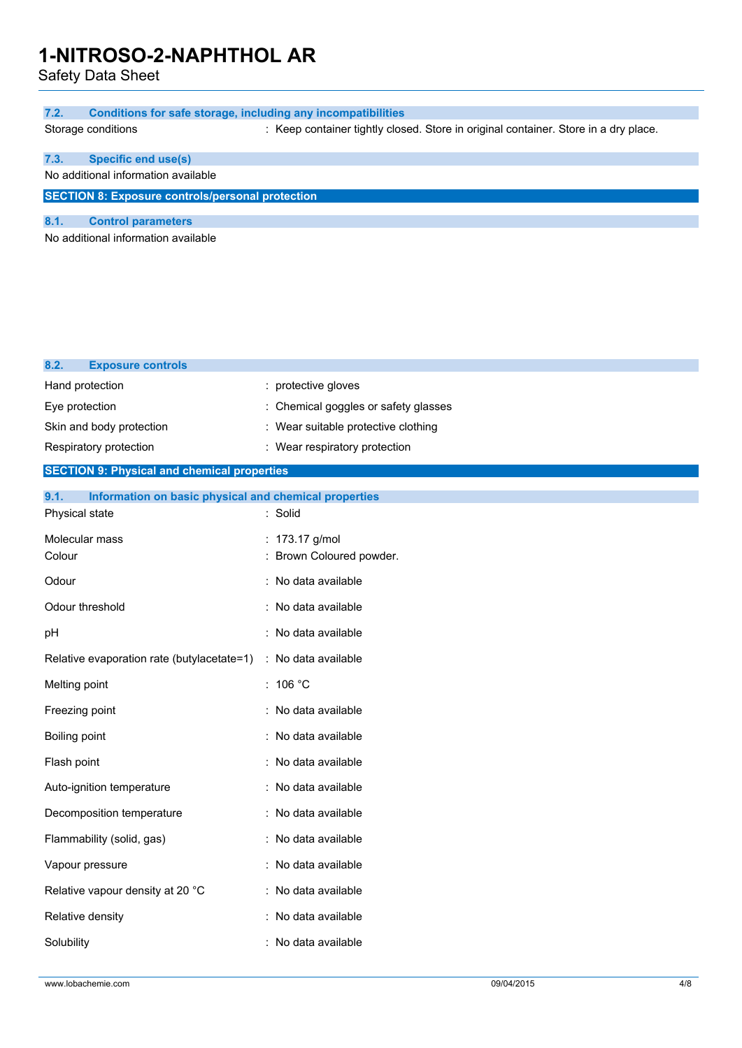Safety Data Sheet

| 7.2.<br><b>Conditions for safe storage, including any incompatibilities</b> |                                                                                     |
|-----------------------------------------------------------------------------|-------------------------------------------------------------------------------------|
| Storage conditions                                                          | : Keep container tightly closed. Store in original container. Store in a dry place. |
| 7.3.<br><b>Specific end use(s)</b>                                          |                                                                                     |
| No additional information available                                         |                                                                                     |
| <b>SECTION 8: Exposure controls/personal protection</b>                     |                                                                                     |
| 8.1.<br><b>Control parameters</b>                                           |                                                                                     |
| No additional information available                                         |                                                                                     |
|                                                                             |                                                                                     |
|                                                                             |                                                                                     |
|                                                                             |                                                                                     |
|                                                                             |                                                                                     |
| 8.2.<br><b>Exposure controls</b>                                            |                                                                                     |
| Hand protection                                                             | protective gloves                                                                   |
| Eye protection                                                              | Chemical goggles or safety glasses                                                  |
| Skin and body protection                                                    | : Wear suitable protective clothing                                                 |
| Respiratory protection                                                      | : Wear respiratory protection                                                       |
| <b>SECTION 9: Physical and chemical properties</b>                          |                                                                                     |
| 9.1.<br>Information on basic physical and chemical properties               |                                                                                     |
| Physical state                                                              | : Solid                                                                             |
| Molecular mass<br>Colour                                                    | : 173.17 g/mol<br>Brown Coloured powder.                                            |
|                                                                             |                                                                                     |
| Odour                                                                       | : No data available                                                                 |
| Odour threshold                                                             | : No data available                                                                 |
| pH                                                                          | : No data available                                                                 |
| Relative evaporation rate (butylacetate=1)                                  | : No data available                                                                 |
| Melting point                                                               | : $106 °C$                                                                          |
| Freezing point                                                              | : No data available                                                                 |
| Boiling point                                                               | : No data available                                                                 |
| Flash point                                                                 | : No data available                                                                 |
| Auto-ignition temperature                                                   | : No data available                                                                 |
| Decomposition temperature                                                   | : No data available                                                                 |
| Flammability (solid, gas)                                                   | : No data available                                                                 |
| Vapour pressure                                                             | : No data available                                                                 |
| Relative vapour density at 20 °C                                            | : No data available                                                                 |
| Relative density                                                            | : No data available                                                                 |
| Solubility                                                                  | : No data available                                                                 |
|                                                                             |                                                                                     |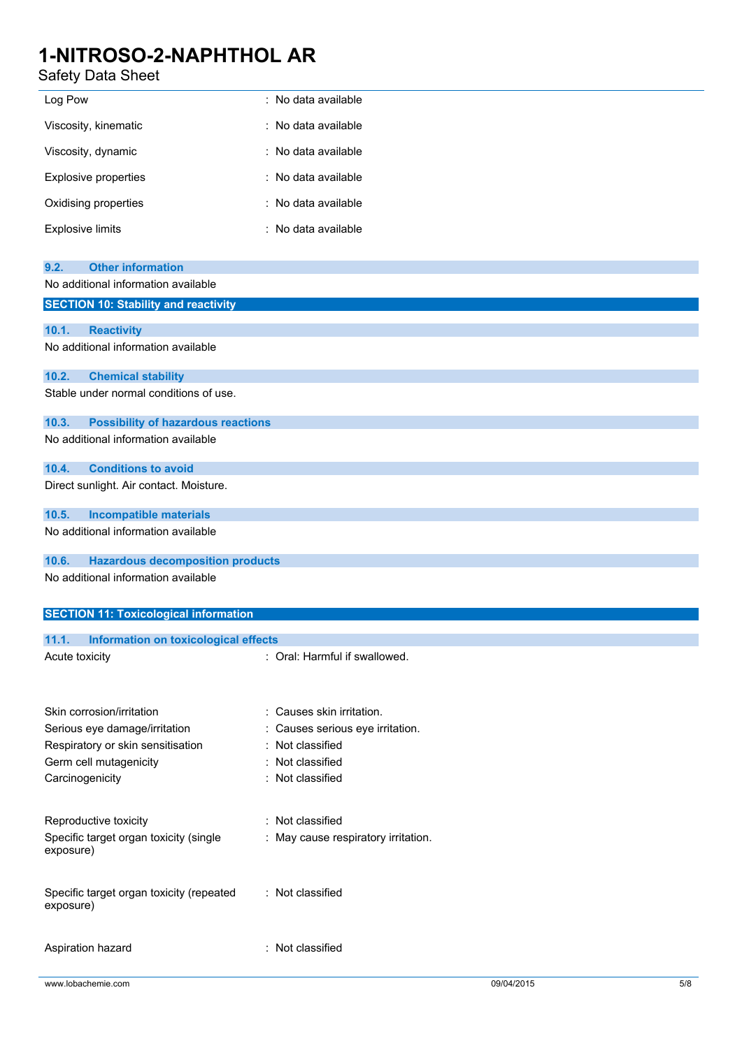## Safety Data Sheet

| Log Pow                 | : No data available |
|-------------------------|---------------------|
| Viscosity, kinematic    | : No data available |
| Viscosity, dynamic      | : No data available |
| Explosive properties    | : No data available |
| Oxidising properties    | : No data available |
| <b>Explosive limits</b> | : No data available |

| <b>Other information</b><br>9.2.                   |
|----------------------------------------------------|
| No additional information available                |
| <b>SECTION 10: Stability and reactivity</b>        |
|                                                    |
| 10.1.<br><b>Reactivity</b>                         |
| No additional information available                |
| 10.2.<br><b>Chemical stability</b>                 |
| Stable under normal conditions of use.             |
| 10.3.<br><b>Possibility of hazardous reactions</b> |
| No additional information available                |
| <b>Conditions to avoid</b><br>10.4.                |
| Direct sunlight. Air contact. Moisture.            |
| <b>Incompatible materials</b><br>10.5.             |
| No additional information available                |
| 10.6.<br><b>Hazardous decomposition products</b>   |
| No additional information available                |
| <b>SECTION 11: Toxicological information</b>       |
| 11.1.<br>Information on toxicological effects      |
| : Oral: Harmful if swallowed.<br>Acute toxicity    |
|                                                    |

| Skin corrosion/irritation                             | : Causes skin irritation.           |
|-------------------------------------------------------|-------------------------------------|
| Serious eye damage/irritation                         | : Causes serious eye irritation.    |
| Respiratory or skin sensitisation                     | : Not classified                    |
| Germ cell mutagenicity                                | : Not classified                    |
| Carcinogenicity                                       | : Not classified                    |
| Reproductive toxicity                                 | : Not classified                    |
| Specific target organ toxicity (single<br>exposure)   | : May cause respiratory irritation. |
| Specific target organ toxicity (repeated<br>exposure) | : Not classified                    |
| Aspiration hazard                                     | : Not classified                    |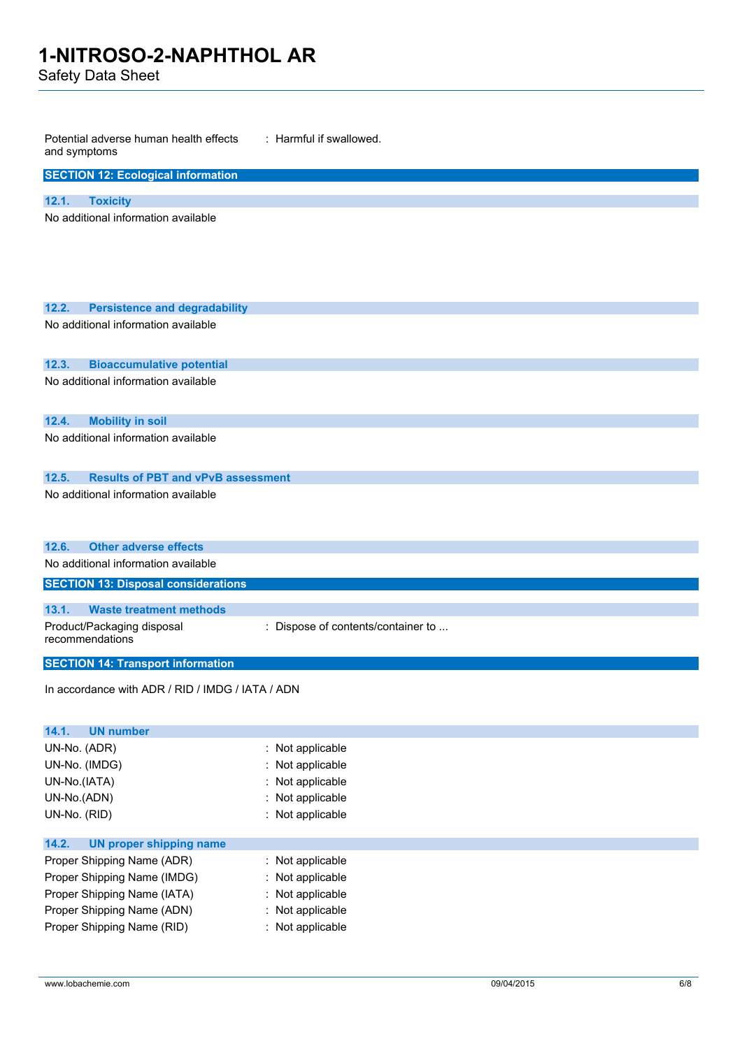Safety Data Sheet

| Potential adverse human health effects<br>and symptoms                                   | : Harmful if swallowed.            |
|------------------------------------------------------------------------------------------|------------------------------------|
| <b>SECTION 12: Ecological information</b>                                                |                                    |
| 12.1.<br><b>Toxicity</b>                                                                 |                                    |
| No additional information available                                                      |                                    |
| 12.2.<br><b>Persistence and degradability</b>                                            |                                    |
| No additional information available                                                      |                                    |
| 12.3.<br><b>Bioaccumulative potential</b>                                                |                                    |
| No additional information available                                                      |                                    |
| <b>Mobility in soil</b><br>12.4.                                                         |                                    |
| No additional information available                                                      |                                    |
| <b>Results of PBT and vPvB assessment</b><br>12.5.                                       |                                    |
| No additional information available                                                      |                                    |
| 12.6.<br><b>Other adverse effects</b>                                                    |                                    |
| No additional information available                                                      |                                    |
| <b>SECTION 13: Disposal considerations</b>                                               |                                    |
| 13.1.<br><b>Waste treatment methods</b><br>Product/Packaging disposal<br>recommendations | : Dispose of contents/container to |
| <b>SECTION 14: Transport information</b>                                                 |                                    |
| In accordance with ADR / RID / IMDG / IATA / ADN                                         |                                    |
| 14.1.<br><b>UN number</b>                                                                |                                    |
| UN-No. (ADR)                                                                             | : Not applicable                   |
| UN-No. (IMDG)                                                                            | Not applicable                     |
| UN-No.(IATA)                                                                             | : Not applicable                   |
| UN-No.(ADN)                                                                              | Not applicable                     |
| UN-No. (RID)                                                                             | : Not applicable                   |
| 14.2.<br><b>UN proper shipping name</b>                                                  |                                    |
| Proper Shipping Name (ADR)                                                               | : Not applicable                   |
| Proper Shipping Name (IMDG)                                                              | Not applicable                     |
| Proper Shipping Name (IATA)                                                              | Not applicable                     |
| Proper Shipping Name (ADN)                                                               | Not applicable                     |
| Proper Shipping Name (RID)                                                               | : Not applicable                   |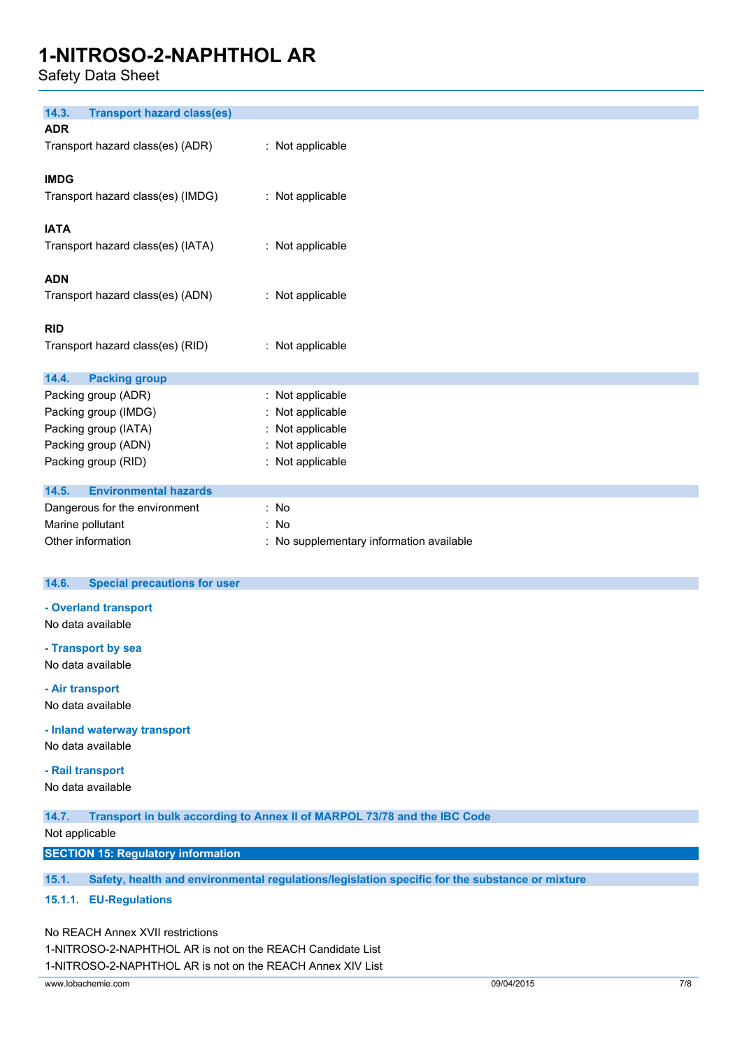Safety Data Sheet

| 14.3.<br><b>Transport hazard class(es)</b> |                                        |
|--------------------------------------------|----------------------------------------|
| <b>ADR</b>                                 |                                        |
| Transport hazard class(es) (ADR)           | : Not applicable                       |
|                                            |                                        |
| <b>IMDG</b>                                |                                        |
| Transport hazard class(es) (IMDG)          | : Not applicable                       |
|                                            |                                        |
| <b>IATA</b>                                |                                        |
| Transport hazard class(es) (IATA)          | : Not applicable                       |
|                                            |                                        |
| <b>ADN</b>                                 |                                        |
|                                            |                                        |
| Transport hazard class(es) (ADN)           | : Not applicable                       |
|                                            |                                        |
| <b>RID</b>                                 |                                        |
| Transport hazard class(es) (RID)           | : Not applicable                       |
|                                            |                                        |
| 14.4.<br><b>Packing group</b>              |                                        |
| Packing group (ADR)                        | : Not applicable                       |
| Packing group (IMDG)                       | : Not applicable                       |
| Packing group (IATA)                       | : Not applicable                       |
| Packing group (ADN)                        | Not applicable                         |
| Packing group (RID)                        | : Not applicable                       |
|                                            |                                        |
| <b>Environmental hazards</b><br>14.5.      |                                        |
| Dangerous for the environment              | : No                                   |
| Marine pollutant                           | : No                                   |
| Other information                          | No supplementary information available |

#### **14.6. Special precautions for user**

#### **- Overland transport**

No data available

#### **- Transport by sea**

No data available

**- Air transport**

No data available

**- Inland waterway transport**

No data available

#### **- Rail transport**

No data available

**14.7. Transport in bulk according to Annex II of MARPOL 73/78 and the IBC Code**

Not applicable

**SECTION 15: Regulatory information**

**15.1. Safety, health and environmental regulations/legislation specific for the substance or mixture**

#### **15.1.1. EU-Regulations**

No REACH Annex XVII restrictions

1-NITROSO-2-NAPHTHOL AR is not on the REACH Candidate List

1-NITROSO-2-NAPHTHOL AR is not on the REACH Annex XIV List